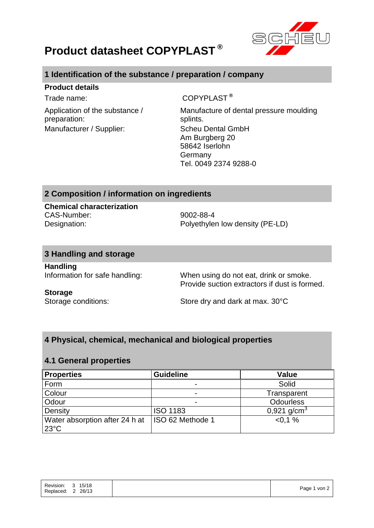

# **Product datasheet COPYPLAST ®**

# **1 Identification of the substance / preparation / company**

### **Product details**

Application of the substance / preparation: Manufacturer / Supplier: Scheu Dental GmbH

Trade name: COPYPLAST<sup>®</sup>

Manufacture of dental pressure moulding splints. Am Burgberg 20 58642 Iserlohn Germany Tel. 0049 2374 9288-0

# **2 Composition / information on ingredients**

**Chemical characterization** CAS-Number: 9002-88-4

Designation: Polyethylen low density (PE-LD)

## **3 Handling and storage**

**Handling**

Information for safe handling: When using do not eat, drink or smoke. Provide suction extractors if dust is formed.

#### **Storage**

Storage conditions: Store dry and dark at max. 30°C

# **4 Physical, chemical, mechanical and biological properties**

## **4.1 General properties**

| <b>Properties</b>                                | <b>Guideline</b> | <b>Value</b>            |
|--------------------------------------------------|------------------|-------------------------|
| Form                                             |                  | Solid                   |
| Colour                                           | -                | Transparent             |
| Odour                                            | -                | <b>Odourless</b>        |
| Density                                          | <b>ISO 1183</b>  | 0,921 g/cm <sup>3</sup> |
| Water absorption after 24 h at<br>$23^{\circ}$ C | ISO 62 Methode 1 | $< 0.1 \%$              |

| 26/13<br>Replaced: |
|--------------------|
|--------------------|